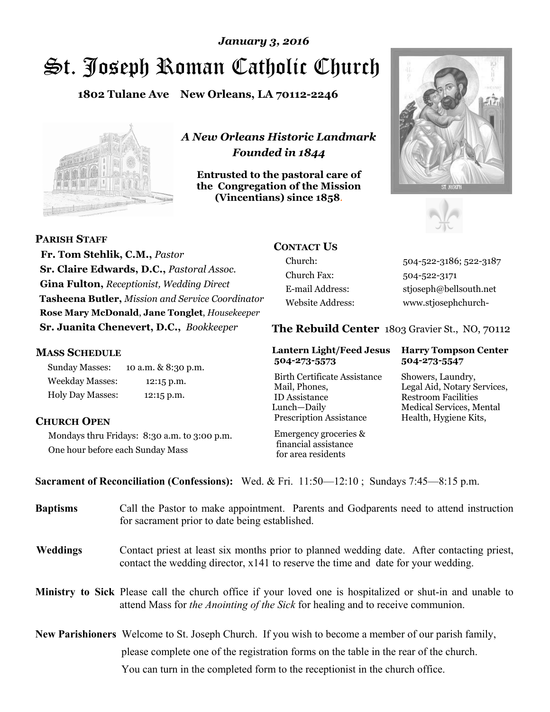# St. Joseph Roman Catholic Church *January 3, 2016*

**1802 Tulane Ave New Orleans, LA 70112-2246**



*A New Orleans Historic Landmark Founded in 1844* 

**Entrusted to the pastoral care of the Congregation of the Mission (Vincentians) since 1858**.





**PARISH STAFF**

 **Fr. Tom Stehlik, C.M.,** *Pastor* **Sr. Claire Edwards, D.C.,** *Pastoral Assoc.* **Gina Fulton,** *Receptionist, Wedding Direct* **Tasheena Butler,** *Mission and Service Coordinator* **Rose Mary McDonald**, **Jane Tonglet**, *Housekeeper* **Sr. Juanita Chenevert, D.C.,** *Bookkeeper* 

**CONTACT US**

Church Fax: 504-522-3171

Church: 504-522-3186; 522-3187 E-mail Address: stjoseph@bellsouth.net Website Address: www.stjosephchurch-

#### **The Rebuild Center** 1803 Gravier St., NO, 70112

#### **MASS SCHEDULE**

Sunday Masses: 10 a.m. & 8:30 p.m. Weekday Masses: 12:15 p.m. Holy Day Masses: 12:15 p.m.

#### **CHURCH OPEN**

Mondays thru Fridays: 8:30 a.m. to 3:00 p.m. One hour before each Sunday Mass

### **504-273-5573 504-273-5547**

Birth Certificate Assistance Showers, Laundry, Mail, Phones, Legal Aid, Notary Services, ID Assistance Restroom Facilities Lunch—Daily Medical Services, Mental Prescription Assistance Health, Hygiene Kits,

 Emergency groceries & financial assistance for area residents

## **Lantern Light/Feed Jesus Harry Tompson Center**

**Sacrament of Reconciliation (Confessions):** Wed. & Fri. 11:50—12:10 ; Sundays 7:45—8:15 p.m.

| <b>Baptisms</b> | Call the Pastor to make appointment. Parents and Godparents need to attend instruction<br>for sacrament prior to date being established.                                                                   |
|-----------------|------------------------------------------------------------------------------------------------------------------------------------------------------------------------------------------------------------|
| <b>Weddings</b> | Contact priest at least six months prior to planned wedding date. After contacting priest,<br>contact the wedding director, $x141$ to reserve the time and date for your wedding.                          |
|                 | <b>Ministry to Sick</b> Please call the church office if your loved one is hospitalized or shut-in and unable to<br>attend Mass for <i>the Anointing of the Sick</i> for healing and to receive communion. |
|                 | <b>New Parishioners</b> Welcome to St. Joseph Church. If you wish to become a member of our parish family,                                                                                                 |
|                 | please complete one of the registration forms on the table in the rear of the church.                                                                                                                      |
|                 | You can turn in the completed form to the reception ist in the church office.                                                                                                                              |